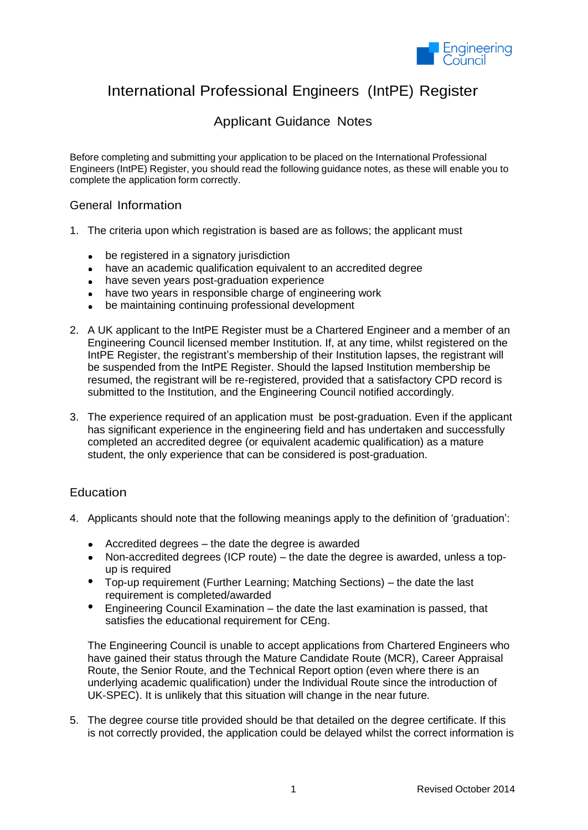

# International Professional Engineers (IntPE) Register

## Applicant Guidance Notes

Before completing and submitting your application to be placed on the International Professional Engineers (IntPE) Register, you should read the following guidance notes, as these will enable you to complete the application form correctly.

#### General Information

- 1. The criteria upon which registration is based are as follows; the applicant must
	- be registered in a signatory jurisdiction
	- have an academic qualification equivalent to an accredited degree
	- have seven years post-graduation experience
	- have two vears in responsible charge of engineering work
	- be maintaining continuing professional development
- 2. A UK applicant to the IntPE Register must be a Chartered Engineer and a member of an Engineering Council licensed member Institution. If, at any time, whilst registered on the IntPE Register, the registrant's membership of their Institution lapses, the registrant will be suspended from the IntPE Register. Should the lapsed Institution membership be resumed, the registrant will be re-registered, provided that a satisfactory CPD record is submitted to the Institution, and the Engineering Council notified accordingly.
- 3. The experience required of an application must be post-graduation. Even if the applicant has significant experience in the engineering field and has undertaken and successfully completed an accredited degree (or equivalent academic qualification) as a mature student, the only experience that can be considered is post-graduation.

### **Education**

- 4. Applicants should note that the following meanings apply to the definition of 'graduation':
	- Accredited degrees the date the degree is awarded
	- Non-accredited degrees (ICP route) the date the degree is awarded, unless a topup is required
	- Top-up requirement (Further Learning; Matching Sections) the date the last requirement is completed/awarded
	- Engineering Council Examination the date the last examination is passed, that satisfies the educational requirement for CEng.

The Engineering Council is unable to accept applications from Chartered Engineers who have gained their status through the Mature Candidate Route (MCR), Career Appraisal Route, the Senior Route, and the Technical Report option (even where there is an underlying academic qualification) under the Individual Route since the introduction of UK-SPEC). It is unlikely that this situation will change in the near future.

5. The degree course title provided should be that detailed on the degree certificate. If this is not correctly provided, the application could be delayed whilst the correct information is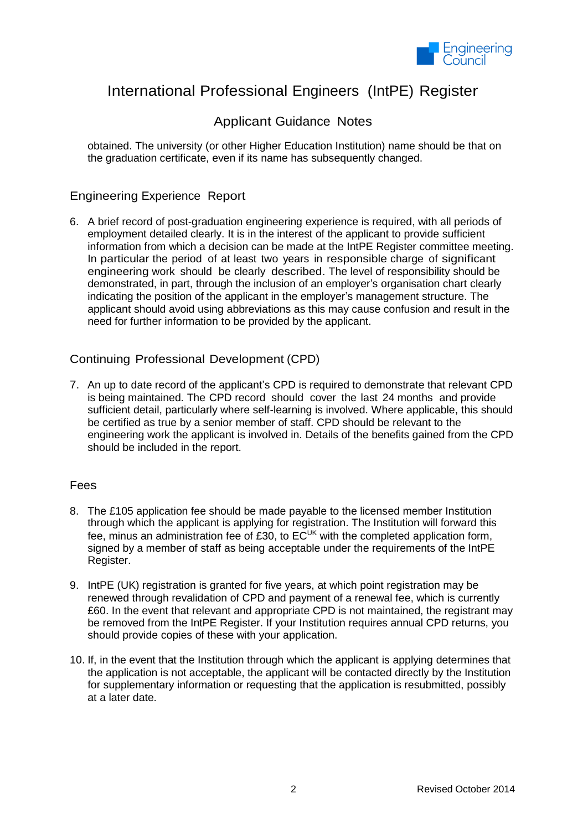

# International Professional Engineers (IntPE) Register

## Applicant Guidance Notes

obtained. The university (or other Higher Education Institution) name should be that on the graduation certificate, even if its name has subsequently changed.

### Engineering Experience Report

6. A brief record of post-graduation engineering experience is required, with all periods of employment detailed clearly. It is in the interest of the applicant to provide sufficient information from which a decision can be made at the IntPE Register committee meeting. In particular the period of at least two years in responsible charge of significant engineering work should be clearly described. The level of responsibility should be demonstrated, in part, through the inclusion of an employer's organisation chart clearly indicating the position of the applicant in the employer's management structure. The applicant should avoid using abbreviations as this may cause confusion and result in the need for further information to be provided by the applicant.

### Continuing Professional Development (CPD)

7. An up to date record of the applicant's CPD is required to demonstrate that relevant CPD is being maintained. The CPD record should cover the last 24 months and provide sufficient detail, particularly where self-learning is involved. Where applicable, this should be certified as true by a senior member of staff. CPD should be relevant to the engineering work the applicant is involved in. Details of the benefits gained from the CPD should be included in the report.

#### Fees

- 8. The £105 application fee should be made payable to the licensed member Institution through which the applicant is applying for registration. The Institution will forward this fee, minus an administration fee of £30, to  $EC^{\text{UK}}$  with the completed application form, signed by a member of staff as being acceptable under the requirements of the IntPE Register.
- 9. IntPE (UK) registration is granted for five years, at which point registration may be renewed through revalidation of CPD and payment of a renewal fee, which is currently £60. In the event that relevant and appropriate CPD is not maintained, the registrant may be removed from the IntPE Register. If your Institution requires annual CPD returns, you should provide copies of these with your application.
- 10. If, in the event that the Institution through which the applicant is applying determines that the application is not acceptable, the applicant will be contacted directly by the Institution for supplementary information or requesting that the application is resubmitted, possibly at a later date.